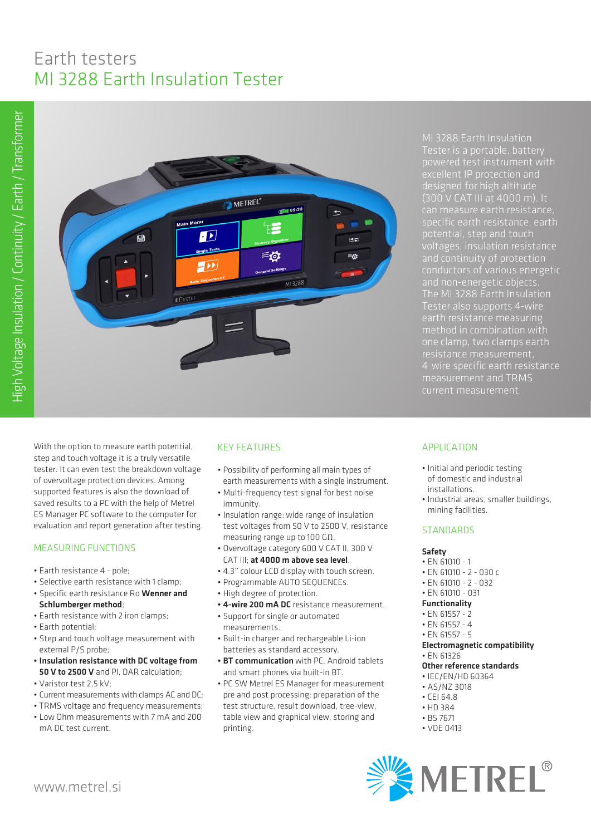# Earth testers MI 3288 Earth Insulation Tester



MI 3288 Earth Insulation Tester is a portable, battery designed for high altitude (300 V CAT III at 4000 m). It and continuity of protection conductors of various energetic and non-energetic objects. The MI 3288 Earth Insulation Tester also supports 4-wire method in combination with one clamp, two clamps earth resistance measurement, 4-wire specific earth resistance measurement and TRMS

With the option to measure earth potential, step and touch voltage it is a truly versatile tester. It can even test the breakdown voltage of overvoltage protection devices. Among supported features is also the download of saved results to a PC with the help of Metrel ES Manager PC software to the computer for evaluation and report generation after testing.

## MEASURING FUNCTIONS

- Earth resistance 4 pole;
- Selective earth resistance with 1 clamp;
- Specific earth resistance Ro Wenner and Schlumberger method;
- Earth resistance with 2 iron clamps;
- Earth potential;
- Step and touch voltage measurement with external P/S probe;
- Insulation resistance with DC voltage from 50 V to 2500 V and PI, DAR calculation;
- Varistor test 2,5 kV;
- Current measurements with clamps AC and DC;
- TRMS voltage and frequency measurements;
- Low Ohm measurements with 7 mA and 200 mA DC test current.

## KEY FEATURES

- Possibility of performing all main types of earth measurements with a single instrument.
- Multi-frequency test signal for best noise immunity.
- Insulation range: wide range of insulation test voltages from 50 V to 2500 V, resistance measuring range up to 100 GΩ.
- Overvoltage category 600 V CAT II, 300 V CAT III; at 4000 m above sea level.
- 4.3'' colour LCD display with touch screen.
- Programmable AUTO SEQUENCEs.
- High degree of protection.
- 4-wire 200 mA DC resistance measurement.
- Support for single or automated measurements.
- Built-in charger and rechargeable Li-ion batteries as standard accessory.
- BT communication with PC, Android tablets and smart phones via built-in BT.
- PC SW Metrel ES Manager for measurement pre and post processing: preparation of the test structure, result download, tree-view, table view and graphical view, storing and printing.

## APPLICATION

- Initial and periodic testing of domestic and industrial installations.
- Industrial areas, smaller buildings, mining facilities.

#### **STANDARDS**

#### Safety

- EN 61010 1
- EN 61010 2 030 c
- EN 61010 2 032
- EN 61010 031
- Functionality
- EN 61557 2
- EN 61557 4
- EN 61557 5
- Electromagnetic compatibility • EN 61326

## Other reference standards

- IEC/EN/HD 60364
- AS/NZ 3018
- CEI 64.8
- HD 384
- BS 7671
- VDE 0413
- **SEXALLEREL**®